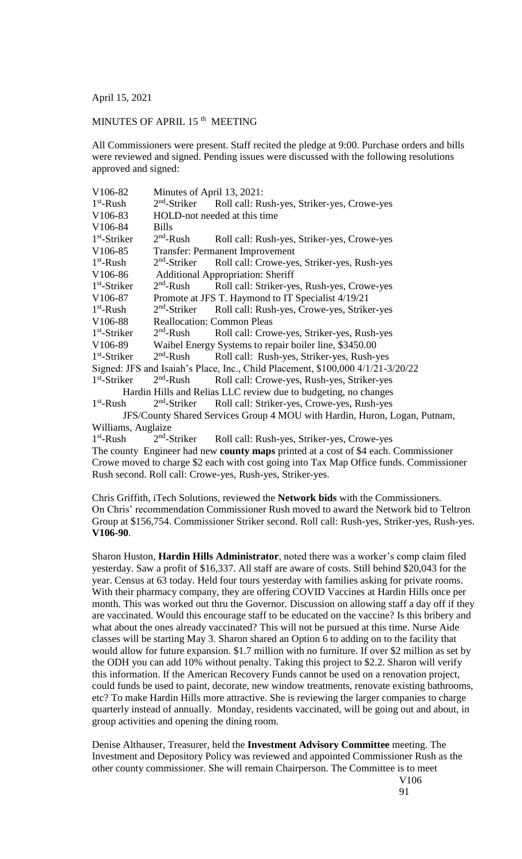April 15, 2021

## MINUTES OF APRIL 15<sup>th</sup> MEETING

All Commissioners were present. Staff recited the pledge at 9:00. Purchase orders and bills were reviewed and signed. Pending issues were discussed with the following resolutions approved and signed:

| V106-82                                                                                    | Minutes of April 13, 2021:                             |                                             |
|--------------------------------------------------------------------------------------------|--------------------------------------------------------|---------------------------------------------|
| $1st$ -Rush                                                                                | $2nd$ -Striker                                         | Roll call: Rush-yes, Striker-yes, Crowe-yes |
| V106-83                                                                                    | HOLD-not needed at this time                           |                                             |
| V106-84                                                                                    | <b>Bills</b>                                           |                                             |
| $1st$ -Striker                                                                             | $2nd$ -Rush                                            | Roll call: Rush-yes, Striker-yes, Crowe-yes |
| V <sub>106</sub> -85                                                                       | <b>Transfer: Permanent Improvement</b>                 |                                             |
| $1st$ -Rush                                                                                | $2nd$ -Striker                                         | Roll call: Crowe-yes, Striker-yes, Rush-yes |
| V106-86                                                                                    | <b>Additional Appropriation: Sheriff</b>               |                                             |
| $1st$ -Striker                                                                             | $2nd$ -Rush                                            | Roll call: Striker-yes, Rush-yes, Crowe-yes |
| V <sub>106-87</sub>                                                                        | Promote at JFS T. Haymond to IT Specialist 4/19/21     |                                             |
| $1st$ -Rush                                                                                | $2nd$ -Striker                                         | Roll call: Rush-yes, Crowe-yes, Striker-yes |
| V <sub>106</sub> -88                                                                       | <b>Reallocation: Common Pleas</b>                      |                                             |
| $1st$ -Striker                                                                             | $2nd$ -Rush                                            | Roll call: Crowe-yes, Striker-yes, Rush-yes |
| V106-89                                                                                    | Waibel Energy Systems to repair boiler line, \$3450.00 |                                             |
| $1st$ -Striker                                                                             | $2nd$ -Rush                                            | Roll call: Rush-yes, Striker-yes, Rush-yes  |
| Signed: JFS and Isaiah's Place, Inc., Child Placement, \$100,000 4/1/21-3/20/22            |                                                        |                                             |
| $1st$ -Striker                                                                             | $2nd$ -Rush                                            | Roll call: Crowe-yes, Rush-yes, Striker-yes |
| Hardin Hills and Relias LLC review due to budgeting, no changes                            |                                                        |                                             |
| $1st$ -Rush                                                                                | $2nd$ -Striker                                         | Roll call: Striker-yes, Crowe-yes, Rush-yes |
| JFS/County Shared Services Group 4 MOU with Hardin, Huron, Logan, Putnam,                  |                                                        |                                             |
| Williams, Auglaize                                                                         |                                                        |                                             |
| $1st$ -Rush                                                                                | $2nd$ -Striker                                         | Roll call: Rush-yes, Striker-yes, Crowe-yes |
| The county Engineer had new <b>county maps</b> printed at a cost of \$4 each. Commissioner |                                                        |                                             |

Crowe moved to charge \$2 each with cost going into Tax Map Office funds. Commissioner Rush second. Roll call: Crowe-yes, Rush-yes, Striker-yes.

Chris Griffith, iTech Solutions, reviewed the **Network bids** with the Commissioners. On Chris' recommendation Commissioner Rush moved to award the Network bid to Teltron Group at \$156,754. Commissioner Striker second. Roll call: Rush-yes, Striker-yes, Rush-yes. **V106-90**.

Sharon Huston, **Hardin Hills Administrator**, noted there was a worker's comp claim filed yesterday. Saw a profit of \$16,337. All staff are aware of costs. Still behind \$20,043 for the year. Census at 63 today. Held four tours yesterday with families asking for private rooms. With their pharmacy company, they are offering COVID Vaccines at Hardin Hills once per month. This was worked out thru the Governor. Discussion on allowing staff a day off if they are vaccinated. Would this encourage staff to be educated on the vaccine? Is this bribery and what about the ones already vaccinated? This will not be pursued at this time. Nurse Aide classes will be starting May 3. Sharon shared an Option 6 to adding on to the facility that would allow for future expansion. \$1.7 million with no furniture. If over \$2 million as set by the ODH you can add 10% without penalty. Taking this project to \$2.2. Sharon will verify this information. If the American Recovery Funds cannot be used on a renovation project, could funds be used to paint, decorate, new window treatments, renovate existing bathrooms, etc? To make Hardin Hills more attractive. She is reviewing the larger companies to charge quarterly instead of annually. Monday, residents vaccinated, will be going out and about, in group activities and opening the dining room.

Denise Althauser, Treasurer, held the **Investment Advisory Committee** meeting. The Investment and Depository Policy was reviewed and appointed Commissioner Rush as the other county commissioner. She will remain Chairperson. The Committee is to meet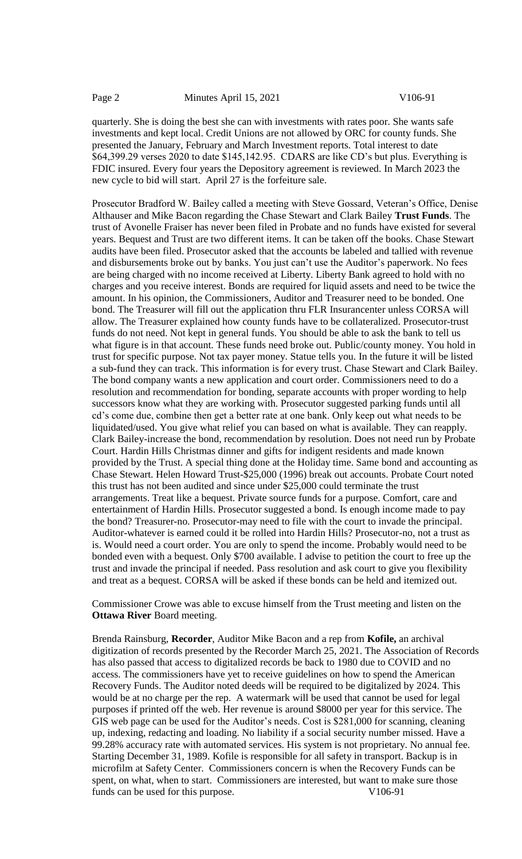quarterly. She is doing the best she can with investments with rates poor. She wants safe investments and kept local. Credit Unions are not allowed by ORC for county funds. She presented the January, February and March Investment reports. Total interest to date \$64,399.29 verses 2020 to date \$145,142.95. CDARS are like CD's but plus. Everything is FDIC insured. Every four years the Depository agreement is reviewed. In March 2023 the new cycle to bid will start. April 27 is the forfeiture sale.

Prosecutor Bradford W. Bailey called a meeting with Steve Gossard, Veteran's Office, Denise Althauser and Mike Bacon regarding the Chase Stewart and Clark Bailey **Trust Funds**. The trust of Avonelle Fraiser has never been filed in Probate and no funds have existed for several years. Bequest and Trust are two different items. It can be taken off the books. Chase Stewart audits have been filed. Prosecutor asked that the accounts be labeled and tallied with revenue and disbursements broke out by banks. You just can't use the Auditor's paperwork. No fees are being charged with no income received at Liberty. Liberty Bank agreed to hold with no charges and you receive interest. Bonds are required for liquid assets and need to be twice the amount. In his opinion, the Commissioners, Auditor and Treasurer need to be bonded. One bond. The Treasurer will fill out the application thru FLR Insurancenter unless CORSA will allow. The Treasurer explained how county funds have to be collateralized. Prosecutor-trust funds do not need. Not kept in general funds. You should be able to ask the bank to tell us what figure is in that account. These funds need broke out. Public/county money. You hold in trust for specific purpose. Not tax payer money. Statue tells you. In the future it will be listed a sub-fund they can track. This information is for every trust. Chase Stewart and Clark Bailey. The bond company wants a new application and court order. Commissioners need to do a resolution and recommendation for bonding, separate accounts with proper wording to help successors know what they are working with. Prosecutor suggested parking funds until all cd's come due, combine then get a better rate at one bank. Only keep out what needs to be liquidated/used. You give what relief you can based on what is available. They can reapply. Clark Bailey-increase the bond, recommendation by resolution. Does not need run by Probate Court. Hardin Hills Christmas dinner and gifts for indigent residents and made known provided by the Trust. A special thing done at the Holiday time. Same bond and accounting as Chase Stewart. Helen Howard Trust-\$25,000 (1996) break out accounts. Probate Court noted this trust has not been audited and since under \$25,000 could terminate the trust arrangements. Treat like a bequest. Private source funds for a purpose. Comfort, care and entertainment of Hardin Hills. Prosecutor suggested a bond. Is enough income made to pay the bond? Treasurer-no. Prosecutor-may need to file with the court to invade the principal. Auditor-whatever is earned could it be rolled into Hardin Hills? Prosecutor-no, not a trust as is. Would need a court order. You are only to spend the income. Probably would need to be bonded even with a bequest. Only \$700 available. I advise to petition the court to free up the trust and invade the principal if needed. Pass resolution and ask court to give you flexibility and treat as a bequest. CORSA will be asked if these bonds can be held and itemized out.

Commissioner Crowe was able to excuse himself from the Trust meeting and listen on the **Ottawa River** Board meeting.

Brenda Rainsburg, **Recorder**, Auditor Mike Bacon and a rep from **Kofile,** an archival digitization of records presented by the Recorder March 25, 2021. The Association of Records has also passed that access to digitalized records be back to 1980 due to COVID and no access. The commissioners have yet to receive guidelines on how to spend the American Recovery Funds. The Auditor noted deeds will be required to be digitalized by 2024. This would be at no charge per the rep. A watermark will be used that cannot be used for legal purposes if printed off the web. Her revenue is around \$8000 per year for this service. The GIS web page can be used for the Auditor's needs. Cost is \$281,000 for scanning, cleaning up, indexing, redacting and loading. No liability if a social security number missed. Have a 99.28% accuracy rate with automated services. His system is not proprietary. No annual fee. Starting December 31, 1989. Kofile is responsible for all safety in transport. Backup is in microfilm at Safety Center. Commissioners concern is when the Recovery Funds can be spent, on what, when to start. Commissioners are interested, but want to make sure those funds can be used for this purpose. V106-91